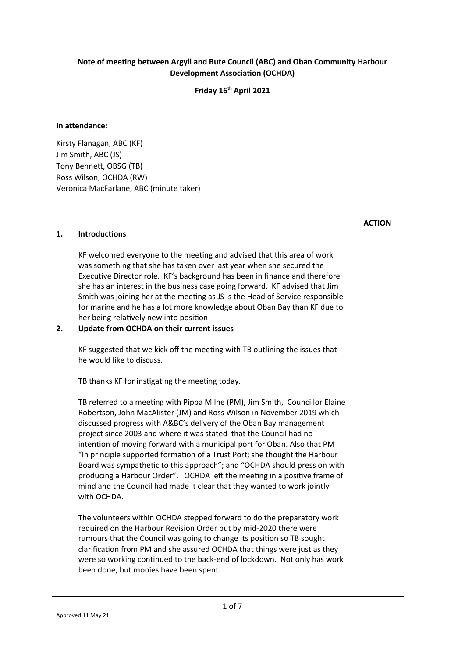## **Note of meeting between Argyll and Bute Council (ABC) and Oban Community Harbour Development Association (OCHDA)**

**Friday 16th April 2021**

## **In attendance:**

Kirsty Flanagan, ABC (KF) Jim Smith, ABC (JS) Tony Bennett, OBSG (TB) Ross Wilson, OCHDA (RW) Veronica MacFarlane, ABC (minute taker)

|    |                                                                                                                                                                                                                                                                                                                                                                                                                                                                                                                                                                                                                                                                                                                 | <b>ACTION</b> |
|----|-----------------------------------------------------------------------------------------------------------------------------------------------------------------------------------------------------------------------------------------------------------------------------------------------------------------------------------------------------------------------------------------------------------------------------------------------------------------------------------------------------------------------------------------------------------------------------------------------------------------------------------------------------------------------------------------------------------------|---------------|
| 1. | <b>Introductions</b>                                                                                                                                                                                                                                                                                                                                                                                                                                                                                                                                                                                                                                                                                            |               |
|    | KF welcomed everyone to the meeting and advised that this area of work<br>was something that she has taken over last year when she secured the<br>Executive Director role. KF's background has been in finance and therefore<br>she has an interest in the business case going forward. KF advised that Jim<br>Smith was joining her at the meeting as JS is the Head of Service responsible<br>for marine and he has a lot more knowledge about Oban Bay than KF due to<br>her being relatively new into position.                                                                                                                                                                                             |               |
| 2. | Update from OCHDA on their current issues                                                                                                                                                                                                                                                                                                                                                                                                                                                                                                                                                                                                                                                                       |               |
|    | KF suggested that we kick off the meeting with TB outlining the issues that<br>he would like to discuss.<br>TB thanks KF for instigating the meeting today.                                                                                                                                                                                                                                                                                                                                                                                                                                                                                                                                                     |               |
|    | TB referred to a meeting with Pippa Milne (PM), Jim Smith, Councillor Elaine<br>Robertson, John MacAlister (JM) and Ross Wilson in November 2019 which<br>discussed progress with A&BC's delivery of the Oban Bay management<br>project since 2003 and where it was stated that the Council had no<br>intention of moving forward with a municipal port for Oban. Also that PM<br>"In principle supported formation of a Trust Port; she thought the Harbour<br>Board was sympathetic to this approach"; and "OCHDA should press on with<br>producing a Harbour Order". OCHDA left the meeting in a positive frame of<br>mind and the Council had made it clear that they wanted to work jointly<br>with OCHDA. |               |
|    | The volunteers within OCHDA stepped forward to do the preparatory work<br>required on the Harbour Revision Order but by mid-2020 there were<br>rumours that the Council was going to change its position so TB sought<br>clarification from PM and she assured OCHDA that things were just as they<br>were so working continued to the back-end of lockdown. Not only has work<br>been done, but monies have been spent.                                                                                                                                                                                                                                                                                        |               |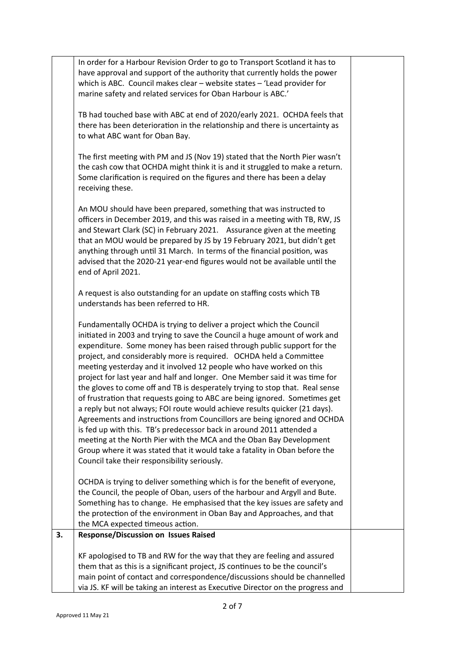|    | In order for a Harbour Revision Order to go to Transport Scotland it has to<br>have approval and support of the authority that currently holds the power<br>which is ABC. Council makes clear - website states - 'Lead provider for<br>marine safety and related services for Oban Harbour is ABC.'                                                                                                                                                                                                                                                                                                                                                                                                                                                                                                                                                                                                                                                                                                                                                          |  |
|----|--------------------------------------------------------------------------------------------------------------------------------------------------------------------------------------------------------------------------------------------------------------------------------------------------------------------------------------------------------------------------------------------------------------------------------------------------------------------------------------------------------------------------------------------------------------------------------------------------------------------------------------------------------------------------------------------------------------------------------------------------------------------------------------------------------------------------------------------------------------------------------------------------------------------------------------------------------------------------------------------------------------------------------------------------------------|--|
|    | TB had touched base with ABC at end of 2020/early 2021. OCHDA feels that<br>there has been deterioration in the relationship and there is uncertainty as<br>to what ABC want for Oban Bay.                                                                                                                                                                                                                                                                                                                                                                                                                                                                                                                                                                                                                                                                                                                                                                                                                                                                   |  |
|    | The first meeting with PM and JS (Nov 19) stated that the North Pier wasn't<br>the cash cow that OCHDA might think it is and it struggled to make a return.<br>Some clarification is required on the figures and there has been a delay<br>receiving these.                                                                                                                                                                                                                                                                                                                                                                                                                                                                                                                                                                                                                                                                                                                                                                                                  |  |
|    | An MOU should have been prepared, something that was instructed to<br>officers in December 2019, and this was raised in a meeting with TB, RW, JS<br>and Stewart Clark (SC) in February 2021. Assurance given at the meeting<br>that an MOU would be prepared by JS by 19 February 2021, but didn't get<br>anything through until 31 March. In terms of the financial position, was<br>advised that the 2020-21 year-end figures would not be available until the<br>end of April 2021.                                                                                                                                                                                                                                                                                                                                                                                                                                                                                                                                                                      |  |
|    | A request is also outstanding for an update on staffing costs which TB<br>understands has been referred to HR.                                                                                                                                                                                                                                                                                                                                                                                                                                                                                                                                                                                                                                                                                                                                                                                                                                                                                                                                               |  |
|    | Fundamentally OCHDA is trying to deliver a project which the Council<br>initiated in 2003 and trying to save the Council a huge amount of work and<br>expenditure. Some money has been raised through public support for the<br>project, and considerably more is required. OCHDA held a Committee<br>meeting yesterday and it involved 12 people who have worked on this<br>project for last year and half and longer. One Member said it was time for<br>the gloves to come off and TB is desperately trying to stop that. Real sense<br>of frustration that requests going to ABC are being ignored. Sometimes get<br>a reply but not always; FOI route would achieve results quicker (21 days).<br>Agreements and instructions from Councillors are being ignored and OCHDA<br>is fed up with this. TB's predecessor back in around 2011 attended a<br>meeting at the North Pier with the MCA and the Oban Bay Development<br>Group where it was stated that it would take a fatality in Oban before the<br>Council take their responsibility seriously. |  |
|    | OCHDA is trying to deliver something which is for the benefit of everyone,<br>the Council, the people of Oban, users of the harbour and Argyll and Bute.<br>Something has to change. He emphasised that the key issues are safety and<br>the protection of the environment in Oban Bay and Approaches, and that<br>the MCA expected timeous action.                                                                                                                                                                                                                                                                                                                                                                                                                                                                                                                                                                                                                                                                                                          |  |
| 3. | <b>Response/Discussion on Issues Raised</b>                                                                                                                                                                                                                                                                                                                                                                                                                                                                                                                                                                                                                                                                                                                                                                                                                                                                                                                                                                                                                  |  |
|    | KF apologised to TB and RW for the way that they are feeling and assured<br>them that as this is a significant project, JS continues to be the council's<br>main point of contact and correspondence/discussions should be channelled<br>via JS. KF will be taking an interest as Executive Director on the progress and                                                                                                                                                                                                                                                                                                                                                                                                                                                                                                                                                                                                                                                                                                                                     |  |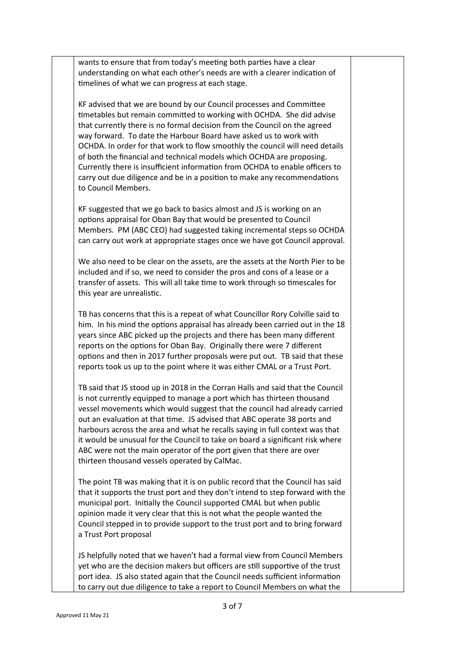wants to ensure that from today's meeting both parties have a clear understanding on what each other's needs are with a clearer indication of timelines of what we can progress at each stage.

KF advised that we are bound by our Council processes and Committee timetables but remain committed to working with OCHDA. She did advise that currently there is no formal decision from the Council on the agreed way forward. To date the Harbour Board have asked us to work with OCHDA. In order for that work to flow smoothly the council will need details of both the financial and technical models which OCHDA are proposing. Currently there is insufficient information from OCHDA to enable officers to carry out due diligence and be in a position to make any recommendations to Council Members.

KF suggested that we go back to basics almost and JS is working on an options appraisal for Oban Bay that would be presented to Council Members. PM (ABC CEO) had suggested taking incremental steps so OCHDA can carry out work at appropriate stages once we have got Council approval.

We also need to be clear on the assets, are the assets at the North Pier to be included and if so, we need to consider the pros and cons of a lease or a transfer of assets. This will all take time to work through so timescales for this year are unrealistic.

TB has concerns that this is a repeat of what Councillor Rory Colville said to him. In his mind the options appraisal has already been carried out in the 18 years since ABC picked up the projects and there has been many different reports on the options for Oban Bay. Originally there were 7 different options and then in 2017 further proposals were put out. TB said that these reports took us up to the point where it was either CMAL or a Trust Port.

TB said that JS stood up in 2018 in the Corran Halls and said that the Council is not currently equipped to manage a port which has thirteen thousand vessel movements which would suggest that the council had already carried out an evaluation at that time. JS advised that ABC operate 38 ports and harbours across the area and what he recalls saying in full context was that it would be unusual for the Council to take on board a significant risk where ABC were not the main operator of the port given that there are over thirteen thousand vessels operated by CalMac.

The point TB was making that it is on public record that the Council has said that it supports the trust port and they don't intend to step forward with the municipal port. Initially the Council supported CMAL but when public opinion made it very clear that this is not what the people wanted the Council stepped in to provide support to the trust port and to bring forward a Trust Port proposal

JS helpfully noted that we haven't had a formal view from Council Members yet who are the decision makers but officers are still supportive of the trust port idea. JS also stated again that the Council needs sufficient information to carry out due diligence to take a report to Council Members on what the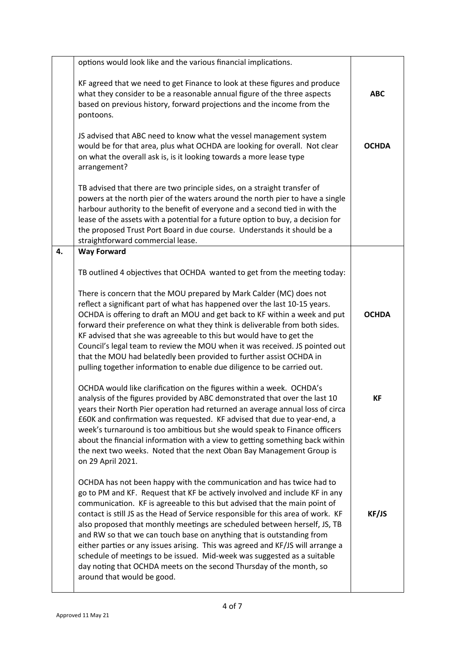|    | options would look like and the various financial implications.                                                                                                                                                                                                                                                                                                                                                                                                                                                                                                                                                                                                                                                                              |              |
|----|----------------------------------------------------------------------------------------------------------------------------------------------------------------------------------------------------------------------------------------------------------------------------------------------------------------------------------------------------------------------------------------------------------------------------------------------------------------------------------------------------------------------------------------------------------------------------------------------------------------------------------------------------------------------------------------------------------------------------------------------|--------------|
|    | KF agreed that we need to get Finance to look at these figures and produce<br>what they consider to be a reasonable annual figure of the three aspects<br>based on previous history, forward projections and the income from the<br>pontoons.                                                                                                                                                                                                                                                                                                                                                                                                                                                                                                | <b>ABC</b>   |
|    | JS advised that ABC need to know what the vessel management system<br>would be for that area, plus what OCHDA are looking for overall. Not clear<br>on what the overall ask is, is it looking towards a more lease type<br>arrangement?                                                                                                                                                                                                                                                                                                                                                                                                                                                                                                      | <b>OCHDA</b> |
|    | TB advised that there are two principle sides, on a straight transfer of<br>powers at the north pier of the waters around the north pier to have a single<br>harbour authority to the benefit of everyone and a second tied in with the<br>lease of the assets with a potential for a future option to buy, a decision for<br>the proposed Trust Port Board in due course. Understands it should be a<br>straightforward commercial lease.                                                                                                                                                                                                                                                                                                   |              |
| 4. | <b>Way Forward</b>                                                                                                                                                                                                                                                                                                                                                                                                                                                                                                                                                                                                                                                                                                                           |              |
|    | TB outlined 4 objectives that OCHDA wanted to get from the meeting today:                                                                                                                                                                                                                                                                                                                                                                                                                                                                                                                                                                                                                                                                    |              |
|    | There is concern that the MOU prepared by Mark Calder (MC) does not<br>reflect a significant part of what has happened over the last 10-15 years.<br>OCHDA is offering to draft an MOU and get back to KF within a week and put<br>forward their preference on what they think is deliverable from both sides.<br>KF advised that she was agreeable to this but would have to get the<br>Council's legal team to review the MOU when it was received. JS pointed out<br>that the MOU had belatedly been provided to further assist OCHDA in<br>pulling together information to enable due diligence to be carried out.                                                                                                                       | <b>OCHDA</b> |
|    | OCHDA would like clarification on the figures within a week. OCHDA's<br>analysis of the figures provided by ABC demonstrated that over the last 10<br>years their North Pier operation had returned an average annual loss of circa<br>£60K and confirmation was requested. KF advised that due to year-end, a<br>week's turnaround is too ambitious but she would speak to Finance officers<br>about the financial information with a view to getting something back within<br>the next two weeks. Noted that the next Oban Bay Management Group is<br>on 29 April 2021.                                                                                                                                                                    | КF           |
|    | OCHDA has not been happy with the communication and has twice had to<br>go to PM and KF. Request that KF be actively involved and include KF in any<br>communication. KF is agreeable to this but advised that the main point of<br>contact is still JS as the Head of Service responsible for this area of work. KF<br>also proposed that monthly meetings are scheduled between herself, JS, TB<br>and RW so that we can touch base on anything that is outstanding from<br>either parties or any issues arising. This was agreed and KF/JS will arrange a<br>schedule of meetings to be issued. Mid-week was suggested as a suitable<br>day noting that OCHDA meets on the second Thursday of the month, so<br>around that would be good. | KF/JS        |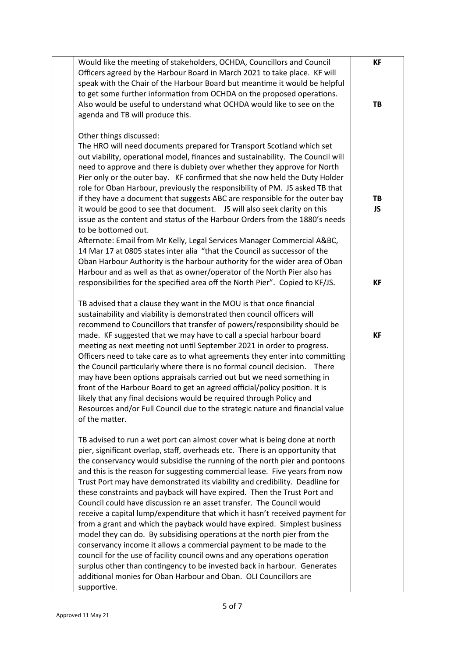| Would like the meeting of stakeholders, OCHDA, Councillors and Council<br>Officers agreed by the Harbour Board in March 2021 to take place. KF will                                                                                                                                                                                                                                                                                                                                                                                                                                                                                                                                                                                                                                                                                                                                                                                  | КF              |
|--------------------------------------------------------------------------------------------------------------------------------------------------------------------------------------------------------------------------------------------------------------------------------------------------------------------------------------------------------------------------------------------------------------------------------------------------------------------------------------------------------------------------------------------------------------------------------------------------------------------------------------------------------------------------------------------------------------------------------------------------------------------------------------------------------------------------------------------------------------------------------------------------------------------------------------|-----------------|
| speak with the Chair of the Harbour Board but meantime it would be helpful<br>to get some further information from OCHDA on the proposed operations.<br>Also would be useful to understand what OCHDA would like to see on the<br>agenda and TB will produce this.                                                                                                                                                                                                                                                                                                                                                                                                                                                                                                                                                                                                                                                                   | TB              |
| Other things discussed:<br>The HRO will need documents prepared for Transport Scotland which set<br>out viability, operational model, finances and sustainability. The Council will<br>need to approve and there is dubiety over whether they approve for North<br>Pier only or the outer bay. KF confirmed that she now held the Duty Holder<br>role for Oban Harbour, previously the responsibility of PM. JS asked TB that<br>if they have a document that suggests ABC are responsible for the outer bay<br>issue as the content and status of the Harbour Orders from the 1880's needs<br>to be bottomed out.<br>Afternote: Email from Mr Kelly, Legal Services Manager Commercial A&BC,<br>14 Mar 17 at 0805 states inter alia "that the Council as successor of the<br>Oban Harbour Authority is the harbour authority for the wider area of Oban<br>Harbour and as well as that as owner/operator of the North Pier also has | TB<br><b>JS</b> |
| responsibilities for the specified area off the North Pier". Copied to KF/JS.                                                                                                                                                                                                                                                                                                                                                                                                                                                                                                                                                                                                                                                                                                                                                                                                                                                        | <b>KF</b>       |
| TB advised that a clause they want in the MOU is that once financial<br>sustainability and viability is demonstrated then council officers will<br>recommend to Councillors that transfer of powers/responsibility should be<br>made. KF suggested that we may have to call a special harbour board                                                                                                                                                                                                                                                                                                                                                                                                                                                                                                                                                                                                                                  | <b>KF</b>       |
| meeting as next meeting not until September 2021 in order to progress.<br>Officers need to take care as to what agreements they enter into committing<br>the Council particularly where there is no formal council decision.<br>There<br>may have been options appraisals carried out but we need something in<br>front of the Harbour Board to get an agreed official/policy position. It is<br>likely that any final decisions would be required through Policy and<br>Resources and/or Full Council due to the strategic nature and financial value<br>of the matter.                                                                                                                                                                                                                                                                                                                                                             |                 |
| TB advised to run a wet port can almost cover what is being done at north<br>pier, significant overlap, staff, overheads etc. There is an opportunity that<br>the conservancy would subsidise the running of the north pier and pontoons<br>and this is the reason for suggesting commercial lease. Five years from now<br>Trust Port may have demonstrated its viability and credibility. Deadline for<br>these constraints and payback will have expired. Then the Trust Port and<br>Council could have discussion re an asset transfer. The Council would                                                                                                                                                                                                                                                                                                                                                                         |                 |
| receive a capital lump/expenditure that which it hasn't received payment for<br>from a grant and which the payback would have expired. Simplest business<br>model they can do. By subsidising operations at the north pier from the<br>conservancy income it allows a commercial payment to be made to the<br>council for the use of facility council owns and any operations operation<br>surplus other than contingency to be invested back in harbour. Generates<br>additional monies for Oban Harbour and Oban. OLI Councillors are                                                                                                                                                                                                                                                                                                                                                                                              |                 |
| supportive.                                                                                                                                                                                                                                                                                                                                                                                                                                                                                                                                                                                                                                                                                                                                                                                                                                                                                                                          |                 |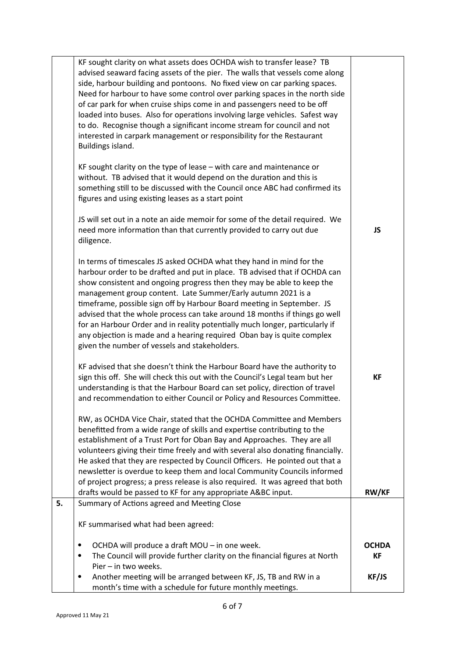|    | KF sought clarity on what assets does OCHDA wish to transfer lease? TB<br>advised seaward facing assets of the pier. The walls that vessels come along<br>side, harbour building and pontoons. No fixed view on car parking spaces.<br>Need for harbour to have some control over parking spaces in the north side<br>of car park for when cruise ships come in and passengers need to be off<br>loaded into buses. Also for operations involving large vehicles. Safest way<br>to do. Recognise though a significant income stream for council and not<br>interested in carpark management or responsibility for the Restaurant<br>Buildings island.           |                           |
|----|-----------------------------------------------------------------------------------------------------------------------------------------------------------------------------------------------------------------------------------------------------------------------------------------------------------------------------------------------------------------------------------------------------------------------------------------------------------------------------------------------------------------------------------------------------------------------------------------------------------------------------------------------------------------|---------------------------|
|    | KF sought clarity on the type of lease $-$ with care and maintenance or<br>without. TB advised that it would depend on the duration and this is<br>something still to be discussed with the Council once ABC had confirmed its<br>figures and using existing leases as a start point                                                                                                                                                                                                                                                                                                                                                                            |                           |
|    | JS will set out in a note an aide memoir for some of the detail required. We<br>need more information than that currently provided to carry out due<br>diligence.                                                                                                                                                                                                                                                                                                                                                                                                                                                                                               | <b>JS</b>                 |
|    | In terms of timescales JS asked OCHDA what they hand in mind for the<br>harbour order to be drafted and put in place. TB advised that if OCHDA can<br>show consistent and ongoing progress then they may be able to keep the<br>management group content. Late Summer/Early autumn 2021 is a<br>timeframe, possible sign off by Harbour Board meeting in September. JS<br>advised that the whole process can take around 18 months if things go well<br>for an Harbour Order and in reality potentially much longer, particularly if<br>any objection is made and a hearing required Oban bay is quite complex<br>given the number of vessels and stakeholders. |                           |
|    | KF advised that she doesn't think the Harbour Board have the authority to<br>sign this off. She will check this out with the Council's Legal team but her<br>understanding is that the Harbour Board can set policy, direction of travel<br>and recommendation to either Council or Policy and Resources Committee.                                                                                                                                                                                                                                                                                                                                             | <b>KF</b>                 |
|    | RW, as OCHDA Vice Chair, stated that the OCHDA Committee and Members<br>benefitted from a wide range of skills and expertise contributing to the<br>establishment of a Trust Port for Oban Bay and Approaches. They are all<br>volunteers giving their time freely and with several also donating financially.<br>He asked that they are respected by Council Officers. He pointed out that a<br>newsletter is overdue to keep them and local Community Councils informed<br>of project progress; a press release is also required. It was agreed that both<br>drafts would be passed to KF for any appropriate A&BC input.                                     | <b>RW/KF</b>              |
| 5. | Summary of Actions agreed and Meeting Close                                                                                                                                                                                                                                                                                                                                                                                                                                                                                                                                                                                                                     |                           |
|    | KF summarised what had been agreed:                                                                                                                                                                                                                                                                                                                                                                                                                                                                                                                                                                                                                             |                           |
|    | OCHDA will produce a draft MOU - in one week.<br>$\bullet$<br>The Council will provide further clarity on the financial figures at North<br>$\bullet$<br>Pier - in two weeks.                                                                                                                                                                                                                                                                                                                                                                                                                                                                                   | <b>OCHDA</b><br><b>KF</b> |
|    | Another meeting will be arranged between KF, JS, TB and RW in a<br>$\bullet$<br>month's time with a schedule for future monthly meetings.                                                                                                                                                                                                                                                                                                                                                                                                                                                                                                                       | KF/JS                     |